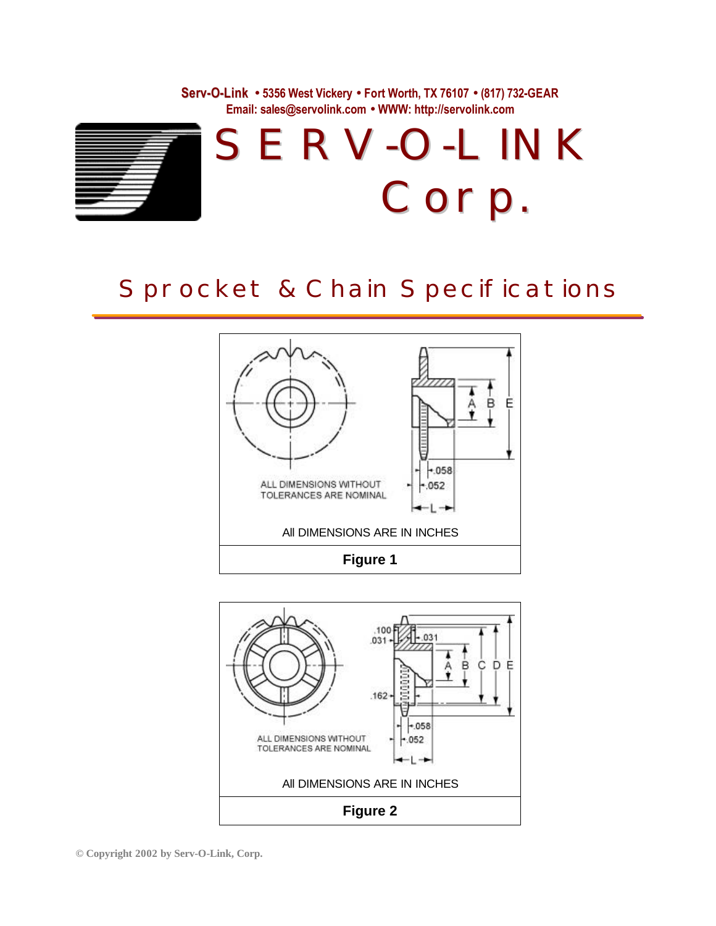**Serv-O-Link · 5356 West Vickery · Fort Worth, TX 76107 · (817) 732-GEAR Email: sales@servolink.com · WWW: http://servolink.com**



## Sprocket & Chain Specifications



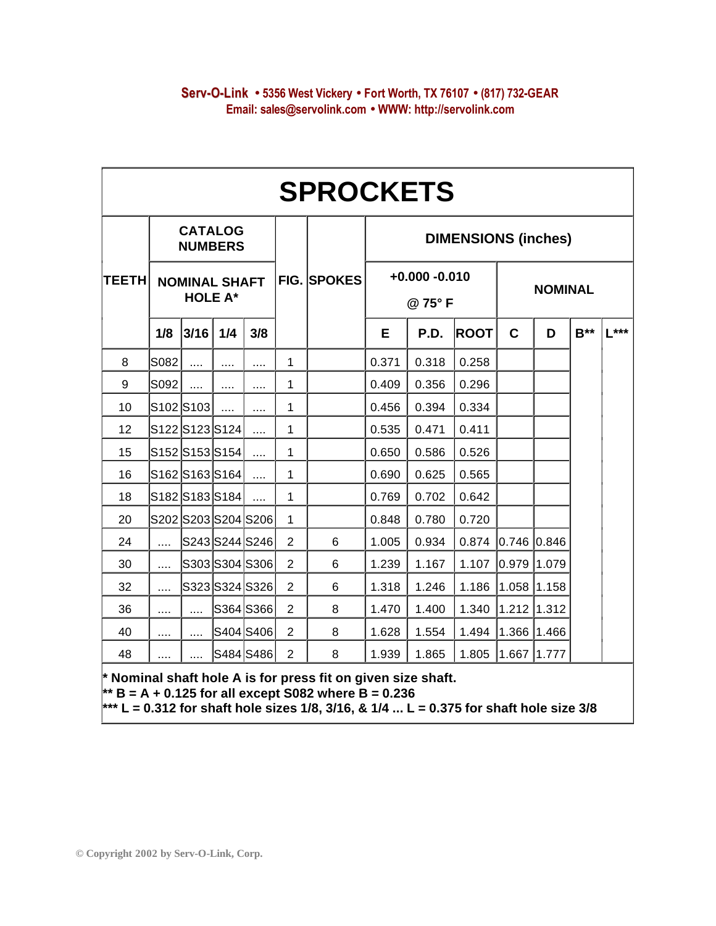|              | <b>SPROCKETS</b>                                                           |           |                |                     |                |                    |                            |       |             |                |             |        |        |  |
|--------------|----------------------------------------------------------------------------|-----------|----------------|---------------------|----------------|--------------------|----------------------------|-------|-------------|----------------|-------------|--------|--------|--|
|              | <b>CATALOG</b><br><b>NUMBERS</b><br><b>NOMINAL SHAFT</b><br><b>HOLE A*</b> |           |                |                     |                | <b>FIG. SPOKES</b> | <b>DIMENSIONS (inches)</b> |       |             |                |             |        |        |  |
| <b>TEETH</b> |                                                                            |           |                |                     |                |                    | $+0.000 - 0.010$<br>@75°F  |       |             | <b>NOMINAL</b> |             |        |        |  |
|              | 1/8                                                                        | 3/16      | 1/4            | 3/8                 |                |                    | E                          | P.D.  | <b>ROOT</b> | $\mathbf C$    | D           | $B***$ | $L***$ |  |
| 8            | S082                                                                       |           | $\cdots$       |                     | $\mathbf{1}$   |                    | 0.371                      | 0.318 | 0.258       |                |             |        |        |  |
| 9            | S092                                                                       | .         | $\cdots$       | .                   | 1              |                    | 0.409                      | 0.356 | 0.296       |                |             |        |        |  |
| 10           |                                                                            | S102 S103 | $\cdots$       | $\cdots$            | 1              |                    | 0.456                      | 0.394 | 0.334       |                |             |        |        |  |
| 12           |                                                                            |           | S122 S123 S124 | .                   | 1              |                    | 0.535                      | 0.471 | 0.411       |                |             |        |        |  |
| 15           |                                                                            |           | S152 S153 S154 | $\cdots$            | 1              |                    | 0.650                      | 0.586 | 0.526       |                |             |        |        |  |
| 16           |                                                                            |           | S162 S163 S164 |                     | 1              |                    | 0.690                      | 0.625 | 0.565       |                |             |        |        |  |
| 18           |                                                                            |           | S182 S183 S184 | .                   | $\mathbf{1}$   |                    | 0.769                      | 0.702 | 0.642       |                |             |        |        |  |
| 20           |                                                                            |           |                | S202 S203 S204 S206 | $\mathbf{1}$   |                    | 0.848                      | 0.780 | 0.720       |                |             |        |        |  |
| 24           | .                                                                          |           |                | S243 S244 S246      | $\overline{2}$ | 6                  | 1.005                      | 0.934 | 0.874       | $0.746$ 0.846  |             |        |        |  |
| 30           | .                                                                          |           |                | S303 S304 S306      | $\overline{2}$ | 6                  | 1.239                      | 1.167 | 1.107       | $0.979$ 1.079  |             |        |        |  |
| 32           | .                                                                          |           |                | S323 S324 S326      | $\overline{2}$ | 6                  | 1.318                      | 1.246 | 1.186       | $1.058$ 1.158  |             |        |        |  |
| 36           |                                                                            | .         |                | S364 S366           | $\overline{2}$ | 8                  | 1.470                      | 1.400 | 1.340       |                | 1.212 1.312 |        |        |  |
| 40           |                                                                            | .         |                | S404 S406           | $\overline{2}$ | 8                  | 1.628                      | 1.554 | 1.494       | 1.366 1.466    |             |        |        |  |
| 48           | $\cdots$                                                                   | .         |                | S484 S486           | $\overline{2}$ | 8                  | 1.939                      | 1.865 | 1.805       | 1.667          | 1.777       |        |        |  |

**\*\*\* L = 0.312 for shaft hole sizes 1/8, 3/16, & 1/4 ... L = 0.375 for shaft hole size 3/8**